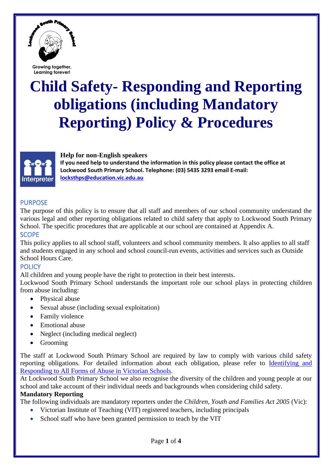

# **Child Safety- Responding and Reporting obligations (including Mandatory Reporting) Policy & Procedures**



#### **Help for non-English speakers**

**If you need help to understand the information in this policy please contact the office at Lockwood South Primary School. Telephone: (03) 5435 3293 email E-mail: [locksthps@education.vic.edu.au](mailto:locksthps@education.vic.edu.au)**

## PURPOSE

The purpose of this policy is to ensure that all staff and members of our school community understand the various legal and other reporting obligations related to child safety that apply to Lockwood South Primary School. The specific procedures that are applicable at our school are contained at Appendix A. **SCOPE** 

This policy applies to all school staff, volunteers and school community members. It also applies to all staff and students engaged in any school and school council-run events, activities and services such as Outside School Hours Care.

## **POLICY**

All children and young people have the right to protection in their best interests.

Lockwood South Primary School understands the important role our school plays in protecting children from abuse including:

- Physical abuse
- Sexual abuse (including sexual exploitation)
- Family violence
- Emotional abuse
- Neglect (including medical neglect)
- Grooming

The staff at Lockwood South Primary School are required by law to comply with various child safety reporting obligations. For detailed information about each obligation, please refer to [Identifying and](https://www.education.vic.gov.au/Documents/about/programs/health/protect/ChildSafeStandard5_SchoolsGuide.pdf)  [Responding to All Forms of Abuse in Victorian Schools.](https://www.education.vic.gov.au/Documents/about/programs/health/protect/ChildSafeStandard5_SchoolsGuide.pdf)

At Lockwood South Primary School we also recognise the diversity of the children and young people at our school and take account of their individual needs and backgrounds when considering child safety.

#### **Mandatory Reporting**

The following individuals are mandatory reporters under the *Children, Youth and Families Act 2005* (Vic):

- Victorian Institute of Teaching (VIT) registered teachers, including principals
- School staff who have been granted permission to teach by the VIT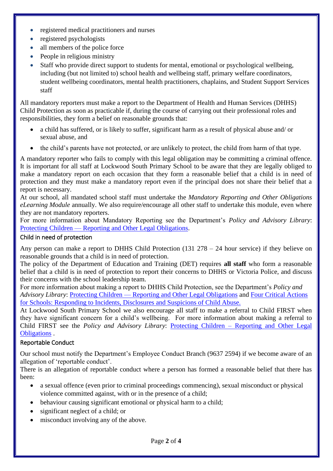- registered medical practitioners and nurses
- registered psychologists
- all members of the police force
- People in religious ministry
- Staff who provide direct support to students for mental, emotional or psychological wellbeing, including (but not limited to) school health and wellbeing staff, primary welfare coordinators, student wellbeing coordinators, mental health practitioners, chaplains, and Student Support Services staff

All mandatory reporters must make a report to the Department of Health and Human Services (DHHS) Child Protection as soon as practicable if, during the course of carrying out their professional roles and responsibilities, they form a belief on reasonable grounds that:

- a child has suffered, or is likely to suffer, significant harm as a result of physical abuse and/ or sexual abuse, and
- the child's parents have not protected, or are unlikely to protect, the child from harm of that type.

A mandatory reporter who fails to comply with this legal obligation may be committing a criminal offence. It is important for all staff at Lockwood South Primary School to be aware that they are legally obliged to make a mandatory report on each occasion that they form a reasonable belief that a child is in need of protection and they must make a mandatory report even if the principal does not share their belief that a report is necessary.

At our school, all mandated school staff must undertake the *Mandatory Reporting and Other Obligations eLearning Module* annually. We also require/encourage all other staff to undertake this module, even where they are not mandatory reporters.

For more information about Mandatory Reporting see the Department's *Policy and Advisory Library*: Protecting Children — [Reporting and Other Legal Obligations.](https://www2.education.vic.gov.au/pal/protecting-children/policy)

#### Child in need of protection

Any person can make a report to DHHS Child Protection (131 278 – 24 hour service) if they believe on reasonable grounds that a child is in need of protection.

The policy of the Department of Education and Training (DET) requires **all staff** who form a reasonable belief that a child is in need of protection to report their concerns to DHHS or Victoria Police, and discuss their concerns with the school leadership team.

For more information about making a report to DHHS Child Protection, see the Department's *Policy and Advisory Library*: Protecting Children — [Reporting and Other Legal Obligations](https://www2.education.vic.gov.au/pal/protecting-children/policy) and [Four Critical Actions](https://www.education.vic.gov.au/Documents/about/programs/health/protect/FourCriticalActions_ChildAbuse.pdf) for Schools: Responding to [Incidents, Disclosures and Suspicions of Child Abuse.](https://www.education.vic.gov.au/Documents/about/programs/health/protect/FourCriticalActions_ChildAbuse.pdf)

At Lockwood South Primary School we also encourage all staff to make a referral to Child FIRST when they have significant concern for a child's wellbeing. For more information about making a referral to Child FIRST see the *Policy and Advisory Library*: Protecting Children – [Reporting and Other Legal](https://www2.education.vic.gov.au/pal/protecting-children/policy)  [Obligations](https://www2.education.vic.gov.au/pal/protecting-children/policy) .

#### Reportable Conduct

Our school must notify the Department's Employee Conduct Branch (9637 2594) if we become aware of an allegation of 'reportable conduct'.

There is an allegation of reportable conduct where a person has formed a reasonable belief that there has been:

- a sexual offence (even prior to criminal proceedings commencing), sexual misconduct or physical violence committed against, with or in the presence of a child;
- behaviour causing significant emotional or physical harm to a child;
- significant neglect of a child; or
- misconduct involving any of the above.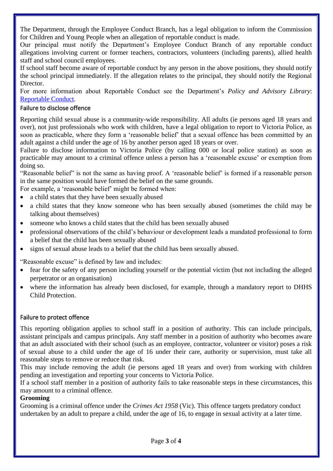The Department, through the Employee Conduct Branch, has a legal obligation to inform the Commission for Children and Young People when an allegation of reportable conduct is made.

Our principal must notify the Department's Employee Conduct Branch of any reportable conduct allegations involving current or former teachers, contractors, volunteers (including parents), allied health staff and school council employees.

If school staff become aware of reportable conduct by any person in the above positions, they should notify the school principal immediately. If the allegation relates to the principal, they should notify the Regional Director.

For more information about Reportable Conduct see the Department's *Policy and Advisory Library*: [Reportable Conduct.](https://www2.education.vic.gov.au/pal/reportable-conduct-scheme/policy)

#### Failure to disclose offence

Reporting child sexual abuse is a community-wide responsibility. All adults (ie persons aged 18 years and over), not just professionals who work with children, have a legal obligation to report to Victoria Police, as soon as practicable, where they form a 'reasonable belief' that a sexual offence has been committed by an adult against a child under the age of 16 by another person aged 18 years or over.

Failure to disclose information to Victoria Police (by calling 000 or local police station) as soon as practicable may amount to a criminal offence unless a person has a 'reasonable excuse' or exemption from doing so.

"Reasonable belief" is not the same as having proof. A 'reasonable belief' is formed if a reasonable person in the same position would have formed the belief on the same grounds.

For example, a 'reasonable belief' might be formed when:

- a child states that they have been sexually abused
- a child states that they know someone who has been sexually abused (sometimes the child may be talking about themselves)
- someone who knows a child states that the child has been sexually abused
- professional observations of the child's behaviour or development leads a mandated professional to form a belief that the child has been sexually abused
- signs of sexual abuse leads to a belief that the child has been sexually abused.

"Reasonable excuse" is defined by law and includes:

- fear for the safety of any person including yourself or the potential victim (but not including the alleged perpetrator or an organisation)
- where the information has already been disclosed, for example, through a mandatory report to DHHS Child Protection.

## Failure to protect offence

This reporting obligation applies to school staff in a position of authority. This can include principals, assistant principals and campus principals. Any staff member in a position of authority who becomes aware that an adult associated with their school (such as an employee, contractor, volunteer or visitor) poses a risk of sexual abuse to a child under the age of 16 under their care, authority or supervision, must take all reasonable steps to remove or reduce that risk.

This may include removing the adult (ie persons aged 18 years and over) from working with children pending an investigation and reporting your concerns to Victoria Police.

If a school staff member in a position of authority fails to take reasonable steps in these circumstances, this may amount to a criminal offence.

#### **Grooming**

Grooming is a criminal offence under the *Crimes Act 1958* (Vic). This offence targets predatory conduct undertaken by an adult to prepare a child, under the age of 16, to engage in sexual activity at a later time.